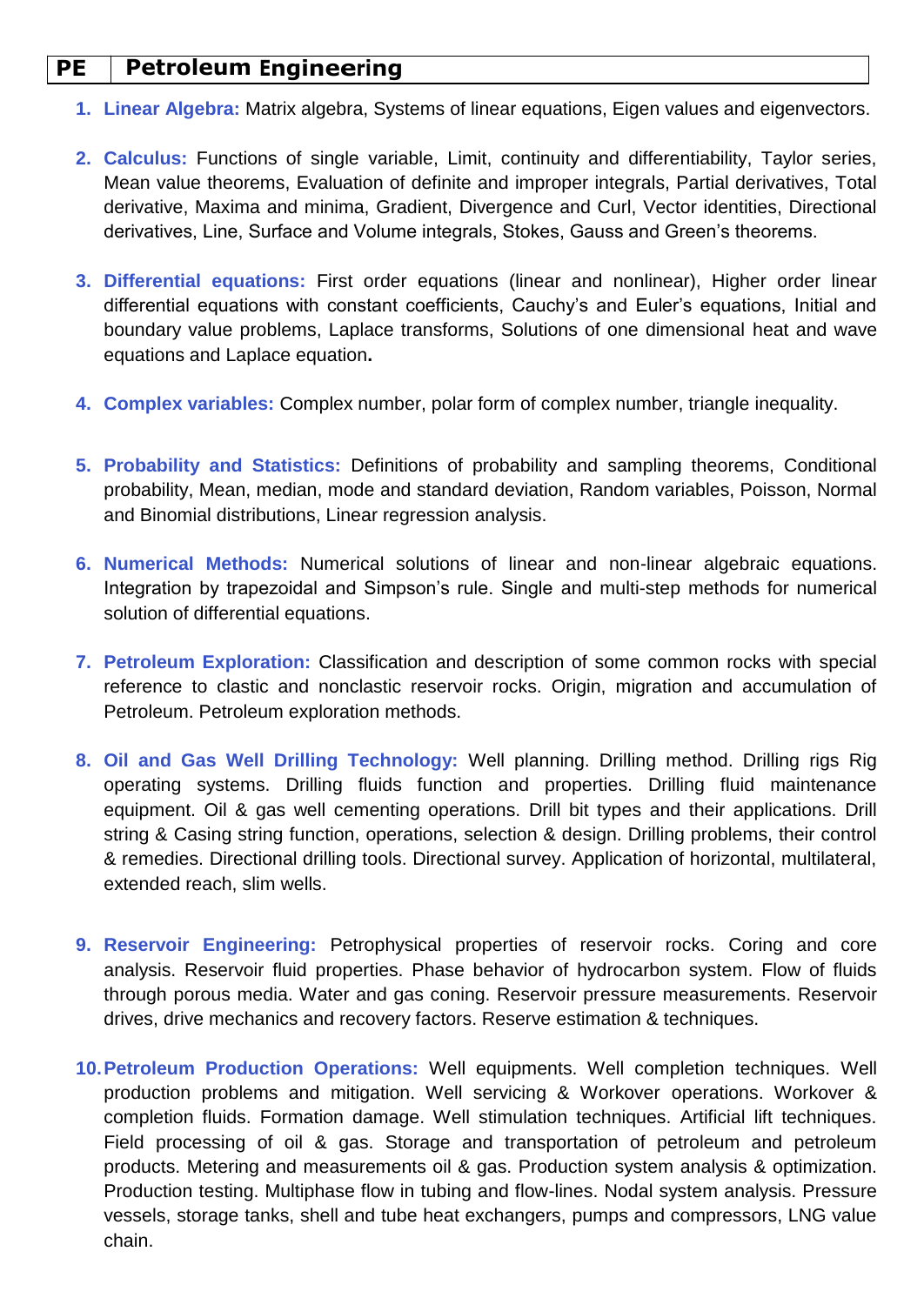## **PE Petroleum Engineering**

- **1. Linear Algebra:** Matrix algebra, Systems of linear equations, Eigen values and eigenvectors.
- **2. Calculus:** Functions of single variable, Limit, continuity and differentiability, Taylor series, Mean value theorems, Evaluation of definite and improper integrals, Partial derivatives, Total derivative, Maxima and minima, Gradient, Divergence and Curl, Vector identities, Directional derivatives, Line, Surface and Volume integrals, Stokes, Gauss and Green's theorems.
- **3. Differential equations:** First order equations (linear and nonlinear), Higher order linear differential equations with constant coefficients, Cauchy's and Euler's equations, Initial and boundary value problems, Laplace transforms, Solutions of one dimensional heat and wave equations and Laplace equation**.**
- **4. Complex variables:** Complex number, polar form of complex number, triangle inequality.
- **5. Probability and Statistics:** Definitions of probability and sampling theorems, Conditional probability, Mean, median, mode and standard deviation, Random variables, Poisson, Normal and Binomial distributions, Linear regression analysis.
- **6. Numerical Methods:** Numerical solutions of linear and non-linear algebraic equations. Integration by trapezoidal and Simpson's rule. Single and multi-step methods for numerical solution of differential equations.
- **7. Petroleum Exploration:** Classification and description of some common rocks with special reference to clastic and nonclastic reservoir rocks. Origin, migration and accumulation of Petroleum. Petroleum exploration methods.
- **8. Oil and Gas Well Drilling Technology:** Well planning. Drilling method. Drilling rigs Rig operating systems. Drilling fluids function and properties. Drilling fluid maintenance equipment. Oil & gas well cementing operations. Drill bit types and their applications. Drill string & Casing string function, operations, selection & design. Drilling problems, their control & remedies. Directional drilling tools. Directional survey. Application of horizontal, multilateral, extended reach, slim wells.
- **9. Reservoir Engineering:** Petrophysical properties of reservoir rocks. Coring and core analysis. Reservoir fluid properties. Phase behavior of hydrocarbon system. Flow of fluids through porous media. Water and gas coning. Reservoir pressure measurements. Reservoir drives, drive mechanics and recovery factors. Reserve estimation & techniques.
- **10.Petroleum Production Operations:** Well equipments. Well completion techniques. Well production problems and mitigation. Well servicing & Workover operations. Workover & completion fluids. Formation damage. Well stimulation techniques. Artificial lift techniques. Field processing of oil & gas. Storage and transportation of petroleum and petroleum products. Metering and measurements oil & gas. Production system analysis & optimization. Production testing. Multiphase flow in tubing and flow-lines. Nodal system analysis. Pressure vessels, storage tanks, shell and tube heat exchangers, pumps and compressors, LNG value chain.